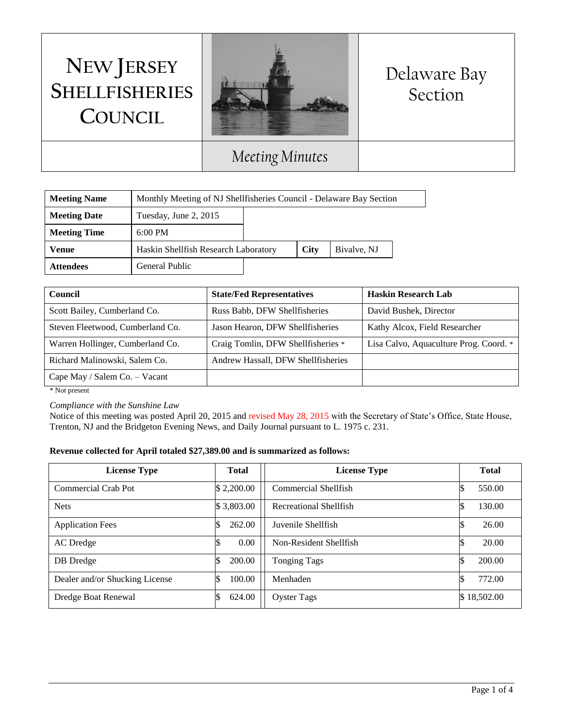# **NEW JERSEY SHELLFISHERIES COUNCIL**



## Delaware Bay Section

### *Meeting Minutes*

| <b>Meeting Name</b> | Monthly Meeting of NJ Shellfisheries Council - Delaware Bay Section |  |      |             |
|---------------------|---------------------------------------------------------------------|--|------|-------------|
| <b>Meeting Date</b> | Tuesday, June 2, 2015                                               |  |      |             |
| <b>Meeting Time</b> | $6:00 \text{ PM}$                                                   |  |      |             |
| Venue               | Haskin Shellfish Research Laboratory                                |  | City | Bivalve, NJ |
| <b>Attendees</b>    | General Public                                                      |  |      |             |

| Council                          | <b>State/Fed Representatives</b>   | <b>Haskin Research Lab</b>             |
|----------------------------------|------------------------------------|----------------------------------------|
| Scott Bailey, Cumberland Co.     | Russ Babb, DFW Shellfisheries      | David Bushek, Director                 |
| Steven Fleetwood, Cumberland Co. | Jason Hearon, DFW Shellfisheries   | Kathy Alcox, Field Researcher          |
| Warren Hollinger, Cumberland Co. | Craig Tomlin, DFW Shellfisheries * | Lisa Calvo, Aquaculture Prog. Coord. * |
| Richard Malinowski, Salem Co.    | Andrew Hassall, DFW Shellfisheries |                                        |
| Cape May / Salem Co. - Vacant    |                                    |                                        |

\* Not present

*Compliance with the Sunshine Law*

Notice of this meeting was posted April 20, 2015 and revised May 28, 2015 with the Secretary of State's Office, State House, Trenton, NJ and the Bridgeton Evening News, and Daily Journal pursuant to L. 1975 c. 231.

#### **Revenue collected for April totaled \$27,389.00 and is summarized as follows:**

| <b>License Type</b>            | <b>Total</b> | <b>License Type</b>    | <b>Total</b> |
|--------------------------------|--------------|------------------------|--------------|
| Commercial Crab Pot            | \$2,200.00   | Commercial Shellfish   | 550.00       |
| <b>Nets</b>                    | \$3,803.00   | Recreational Shellfish | 130.00       |
| <b>Application Fees</b>        | 262.00       | Juvenile Shellfish     | 26.00        |
| AC Dredge                      | 0.00         | Non-Resident Shellfish | 20.00        |
| DB Dredge                      | 200.00       | <b>Tonging Tags</b>    | 200.00       |
| Dealer and/or Shucking License | 100.00       | Menhaden               | 772.00       |
| Dredge Boat Renewal            | 624.00       | <b>Oyster Tags</b>     | \$18,502.00  |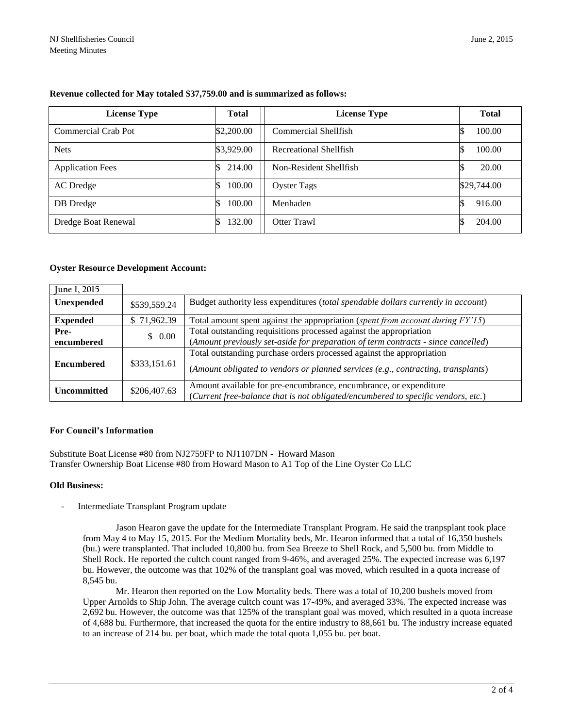| <b>License Type</b>     | <b>Total</b> | <b>License Type</b>    | <b>Total</b> |
|-------------------------|--------------|------------------------|--------------|
| Commercial Crab Pot     | \$2,200.00   | Commercial Shellfish   | 100.00       |
| <b>Nets</b>             | \$3,929.00   | Recreational Shellfish | 100.00       |
| <b>Application Fees</b> | 214.00       | Non-Resident Shellfish | 20.00        |
| AC Dredge               | 100.00       | <b>Oyster Tags</b>     | \$29,744.00  |
| DB Dredge               | 100.00       | Menhaden               | 916.00       |
| Dredge Boat Renewal     | 132.00       | Otter Trawl            | 204.00       |

#### **Revenue collected for May totaled \$37,759.00 and is summarized as follows:**

#### **Oyster Resource Development Account:**

| June 1, 2015       |              |                                                                                   |
|--------------------|--------------|-----------------------------------------------------------------------------------|
| Unexpended         | \$539,559.24 | Budget authority less expenditures (total spendable dollars currently in account) |
| <b>Expended</b>    | \$71,962.39  | Total amount spent against the appropriation (spent from account during FY'15)    |
| Pre-               | \$0.00       | Total outstanding requisitions processed against the appropriation                |
| encumbered         |              | (Amount previously set-aside for preparation of term contracts - since cancelled) |
|                    |              | Total outstanding purchase orders processed against the appropriation             |
| <b>Encumbered</b>  | \$333,151.61 | (Amount obligated to vendors or planned services (e.g., contracting, transplants) |
| <b>Uncommitted</b> | \$206,407.63 | Amount available for pre-encumbrance, encumbrance, or expenditure                 |
|                    |              | (Current free-balance that is not obligated/encumbered to specific vendors, etc.) |

#### **For Council's Information**

Substitute Boat License #80 from NJ2759FP to NJ1107DN - Howard Mason Transfer Ownership Boat License #80 from Howard Mason to A1 Top of the Line Oyster Co LLC

#### **Old Business:**

Intermediate Transplant Program update

Jason Hearon gave the update for the Intermediate Transplant Program. He said the tranpsplant took place from May 4 to May 15, 2015. For the Medium Mortality beds, Mr. Hearon informed that a total of 16,350 bushels (bu.) were transplanted. That included 10,800 bu. from Sea Breeze to Shell Rock, and 5,500 bu. from Middle to Shell Rock. He reported the cultch count ranged from 9-46%, and averaged 25%. The expected increase was 6,197 bu. However, the outcome was that 102% of the transplant goal was moved, which resulted in a quota increase of 8,545 bu.

Mr. Hearon then reported on the Low Mortality beds. There was a total of 10,200 bushels moved from Upper Arnolds to Ship John. The average cultch count was 17-49%, and averaged 33%. The expected increase was 2,692 bu. However, the outcome was that 125% of the transplant goal was moved, which resulted in a quota increase of 4,688 bu. Furthermore, that increased the quota for the entire industry to 88,661 bu. The industry increase equated to an increase of 214 bu. per boat, which made the total quota 1,055 bu. per boat.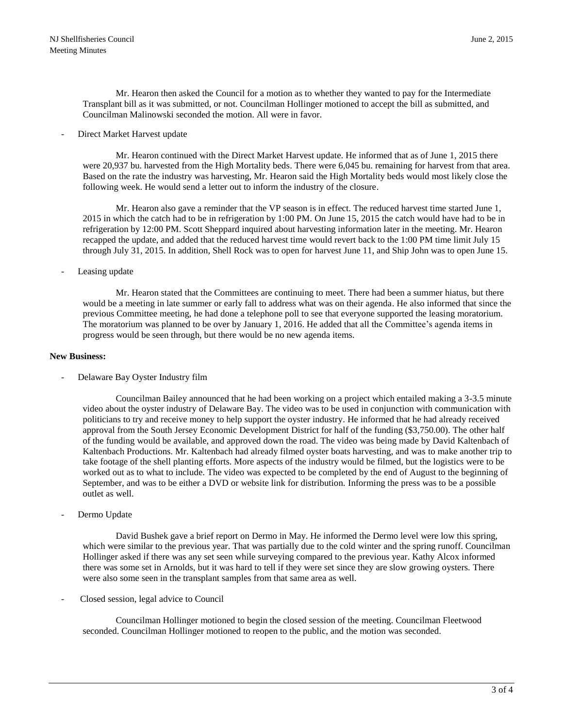Mr. Hearon then asked the Council for a motion as to whether they wanted to pay for the Intermediate Transplant bill as it was submitted, or not. Councilman Hollinger motioned to accept the bill as submitted, and Councilman Malinowski seconded the motion. All were in favor.

Direct Market Harvest update

Mr. Hearon continued with the Direct Market Harvest update. He informed that as of June 1, 2015 there were 20,937 bu. harvested from the High Mortality beds. There were 6,045 bu. remaining for harvest from that area. Based on the rate the industry was harvesting, Mr. Hearon said the High Mortality beds would most likely close the following week. He would send a letter out to inform the industry of the closure.

Mr. Hearon also gave a reminder that the VP season is in effect. The reduced harvest time started June 1, 2015 in which the catch had to be in refrigeration by 1:00 PM. On June 15, 2015 the catch would have had to be in refrigeration by 12:00 PM. Scott Sheppard inquired about harvesting information later in the meeting. Mr. Hearon recapped the update, and added that the reduced harvest time would revert back to the 1:00 PM time limit July 15 through July 31, 2015. In addition, Shell Rock was to open for harvest June 11, and Ship John was to open June 15.

Leasing update

Mr. Hearon stated that the Committees are continuing to meet. There had been a summer hiatus, but there would be a meeting in late summer or early fall to address what was on their agenda. He also informed that since the previous Committee meeting, he had done a telephone poll to see that everyone supported the leasing moratorium. The moratorium was planned to be over by January 1, 2016. He added that all the Committee's agenda items in progress would be seen through, but there would be no new agenda items.

#### **New Business:**

Delaware Bay Oyster Industry film

Councilman Bailey announced that he had been working on a project which entailed making a 3-3.5 minute video about the oyster industry of Delaware Bay. The video was to be used in conjunction with communication with politicians to try and receive money to help support the oyster industry. He informed that he had already received approval from the South Jersey Economic Development District for half of the funding (\$3,750.00). The other half of the funding would be available, and approved down the road. The video was being made by David Kaltenbach of Kaltenbach Productions. Mr. Kaltenbach had already filmed oyster boats harvesting, and was to make another trip to take footage of the shell planting efforts. More aspects of the industry would be filmed, but the logistics were to be worked out as to what to include. The video was expected to be completed by the end of August to the beginning of September, and was to be either a DVD or website link for distribution. Informing the press was to be a possible outlet as well.

Dermo Update

David Bushek gave a brief report on Dermo in May. He informed the Dermo level were low this spring, which were similar to the previous year. That was partially due to the cold winter and the spring runoff. Councilman Hollinger asked if there was any set seen while surveying compared to the previous year. Kathy Alcox informed there was some set in Arnolds, but it was hard to tell if they were set since they are slow growing oysters. There were also some seen in the transplant samples from that same area as well.

- Closed session, legal advice to Council

Councilman Hollinger motioned to begin the closed session of the meeting. Councilman Fleetwood seconded. Councilman Hollinger motioned to reopen to the public, and the motion was seconded.